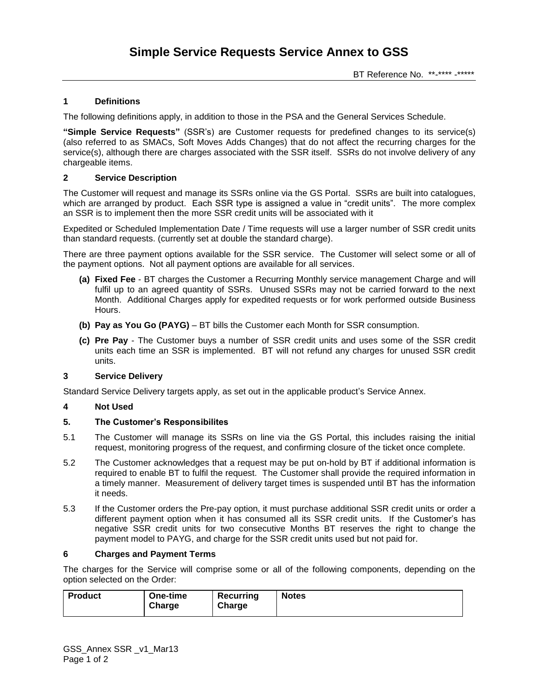## **1 Definitions**

The following definitions apply, in addition to those in the PSA and the General Services Schedule.

**"Simple Service Requests"** (SSR's) are Customer requests for predefined changes to its service(s) (also referred to as SMACs, Soft Moves Adds Changes) that do not affect the recurring charges for the service(s), although there are charges associated with the SSR itself. SSRs do not involve delivery of any chargeable items.

### **2 Service Description**

The Customer will request and manage its SSRs online via the GS Portal. SSRs are built into catalogues, which are arranged by product. Each SSR type is assigned a value in "credit units". The more complex an SSR is to implement then the more SSR credit units will be associated with it

Expedited or Scheduled Implementation Date / Time requests will use a larger number of SSR credit units than standard requests. (currently set at double the standard charge).

There are three payment options available for the SSR service. The Customer will select some or all of the payment options. Not all payment options are available for all services.

- **(a) Fixed Fee** BT charges the Customer a Recurring Monthly service management Charge and will fulfil up to an agreed quantity of SSRs. Unused SSRs may not be carried forward to the next Month. Additional Charges apply for expedited requests or for work performed outside Business Hours.
- **(b) Pay as You Go (PAYG)** BT bills the Customer each Month for SSR consumption.
- **(c) Pre Pay** The Customer buys a number of SSR credit units and uses some of the SSR credit units each time an SSR is implemented. BT will not refund any charges for unused SSR credit units.

#### **3 Service Delivery**

Standard Service Delivery targets apply, as set out in the applicable product's Service Annex.

#### **4 Not Used**

#### **5. The Customer's Responsibilites**

- 5.1 The Customer will manage its SSRs on line via the GS Portal, this includes raising the initial request, monitoring progress of the request, and confirming closure of the ticket once complete.
- 5.2 The Customer acknowledges that a request may be put on-hold by BT if additional information is required to enable BT to fulfil the request. The Customer shall provide the required information in a timely manner. Measurement of delivery target times is suspended until BT has the information it needs.
- 5.3 If the Customer orders the Pre-pay option, it must purchase additional SSR credit units or order a different payment option when it has consumed all its SSR credit units. If the Customer's has negative SSR credit units for two consecutive Months BT reserves the right to change the payment model to PAYG, and charge for the SSR credit units used but not paid for.

#### **6 Charges and Payment Terms**

The charges for the Service will comprise some or all of the following components, depending on the option selected on the Order:

| <b>Product</b><br>Recurring<br>One-time<br>Charge<br>Charge | <b>Notes</b> |
|-------------------------------------------------------------|--------------|
|-------------------------------------------------------------|--------------|